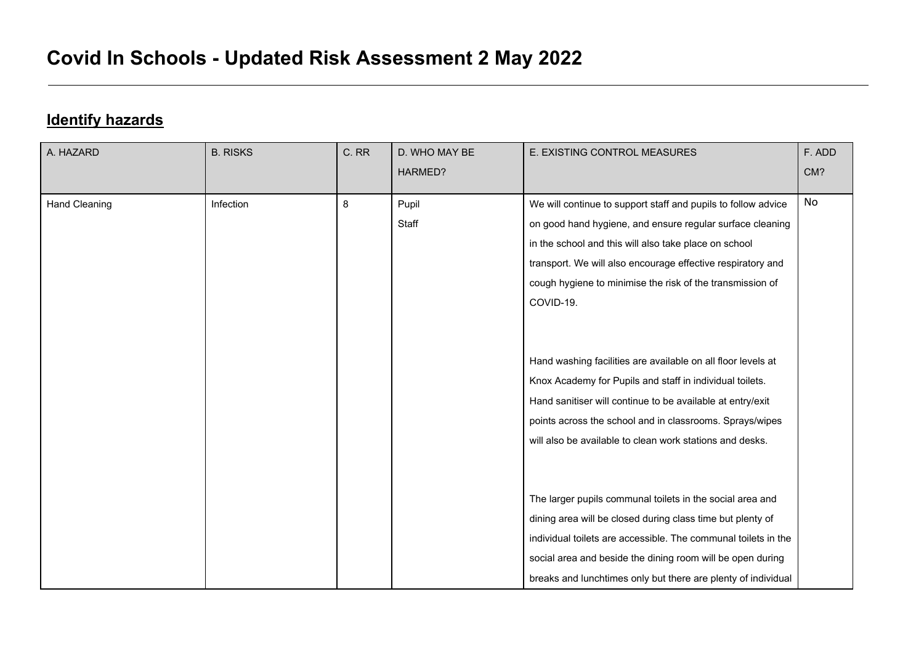## **Identify hazards**

| A. HAZARD            | <b>B. RISKS</b> | C. RR | D. WHO MAY BE | E. EXISTING CONTROL MEASURES                                   | F. ADD |
|----------------------|-----------------|-------|---------------|----------------------------------------------------------------|--------|
|                      |                 |       | HARMED?       |                                                                | CM?    |
| <b>Hand Cleaning</b> | Infection       | 8     | Pupil         | We will continue to support staff and pupils to follow advice  | No     |
|                      |                 |       | Staff         | on good hand hygiene, and ensure regular surface cleaning      |        |
|                      |                 |       |               | in the school and this will also take place on school          |        |
|                      |                 |       |               | transport. We will also encourage effective respiratory and    |        |
|                      |                 |       |               | cough hygiene to minimise the risk of the transmission of      |        |
|                      |                 |       |               | COVID-19.                                                      |        |
|                      |                 |       |               |                                                                |        |
|                      |                 |       |               |                                                                |        |
|                      |                 |       |               | Hand washing facilities are available on all floor levels at   |        |
|                      |                 |       |               | Knox Academy for Pupils and staff in individual toilets.       |        |
|                      |                 |       |               | Hand sanitiser will continue to be available at entry/exit     |        |
|                      |                 |       |               | points across the school and in classrooms. Sprays/wipes       |        |
|                      |                 |       |               | will also be available to clean work stations and desks.       |        |
|                      |                 |       |               |                                                                |        |
|                      |                 |       |               |                                                                |        |
|                      |                 |       |               | The larger pupils communal toilets in the social area and      |        |
|                      |                 |       |               | dining area will be closed during class time but plenty of     |        |
|                      |                 |       |               | individual toilets are accessible. The communal toilets in the |        |
|                      |                 |       |               | social area and beside the dining room will be open during     |        |
|                      |                 |       |               | breaks and lunchtimes only but there are plenty of individual  |        |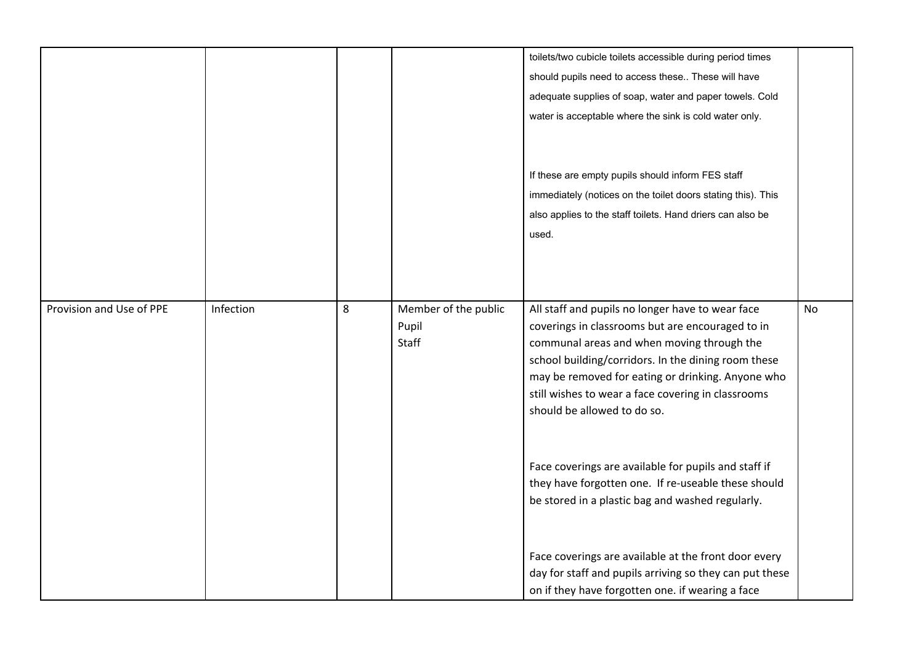|                          |           |   |                                        | toilets/two cubicle toilets accessible during period times<br>should pupils need to access these These will have<br>adequate supplies of soap, water and paper towels. Cold<br>water is acceptable where the sink is cold water only.                                                                                                               |           |
|--------------------------|-----------|---|----------------------------------------|-----------------------------------------------------------------------------------------------------------------------------------------------------------------------------------------------------------------------------------------------------------------------------------------------------------------------------------------------------|-----------|
|                          |           |   |                                        | If these are empty pupils should inform FES staff<br>immediately (notices on the toilet doors stating this). This<br>also applies to the staff toilets. Hand driers can also be<br>used.                                                                                                                                                            |           |
| Provision and Use of PPE | Infection | 8 | Member of the public<br>Pupil<br>Staff | All staff and pupils no longer have to wear face<br>coverings in classrooms but are encouraged to in<br>communal areas and when moving through the<br>school building/corridors. In the dining room these<br>may be removed for eating or drinking. Anyone who<br>still wishes to wear a face covering in classrooms<br>should be allowed to do so. | <b>No</b> |
|                          |           |   |                                        | Face coverings are available for pupils and staff if<br>they have forgotten one. If re-useable these should<br>be stored in a plastic bag and washed regularly.                                                                                                                                                                                     |           |
|                          |           |   |                                        | Face coverings are available at the front door every<br>day for staff and pupils arriving so they can put these<br>on if they have forgotten one. if wearing a face                                                                                                                                                                                 |           |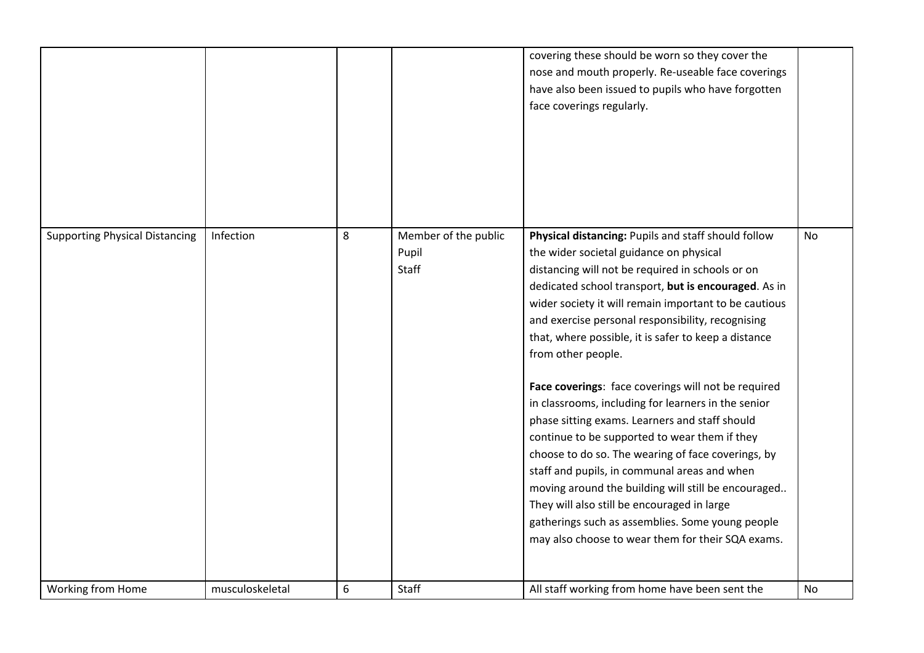|                                       |                 |   |                                        | covering these should be worn so they cover the<br>nose and mouth properly. Re-useable face coverings<br>have also been issued to pupils who have forgotten<br>face coverings regularly.                                                                                                                                                                                                                                                                                                                                                                                                                                                                                                                                                                                                                                                                                                                                                     |    |
|---------------------------------------|-----------------|---|----------------------------------------|----------------------------------------------------------------------------------------------------------------------------------------------------------------------------------------------------------------------------------------------------------------------------------------------------------------------------------------------------------------------------------------------------------------------------------------------------------------------------------------------------------------------------------------------------------------------------------------------------------------------------------------------------------------------------------------------------------------------------------------------------------------------------------------------------------------------------------------------------------------------------------------------------------------------------------------------|----|
| <b>Supporting Physical Distancing</b> | Infection       | 8 | Member of the public<br>Pupil<br>Staff | Physical distancing: Pupils and staff should follow<br>the wider societal guidance on physical<br>distancing will not be required in schools or on<br>dedicated school transport, but is encouraged. As in<br>wider society it will remain important to be cautious<br>and exercise personal responsibility, recognising<br>that, where possible, it is safer to keep a distance<br>from other people.<br>Face coverings: face coverings will not be required<br>in classrooms, including for learners in the senior<br>phase sitting exams. Learners and staff should<br>continue to be supported to wear them if they<br>choose to do so. The wearing of face coverings, by<br>staff and pupils, in communal areas and when<br>moving around the building will still be encouraged<br>They will also still be encouraged in large<br>gatherings such as assemblies. Some young people<br>may also choose to wear them for their SQA exams. | No |
| Working from Home                     | musculoskeletal | 6 | Staff                                  | All staff working from home have been sent the                                                                                                                                                                                                                                                                                                                                                                                                                                                                                                                                                                                                                                                                                                                                                                                                                                                                                               | No |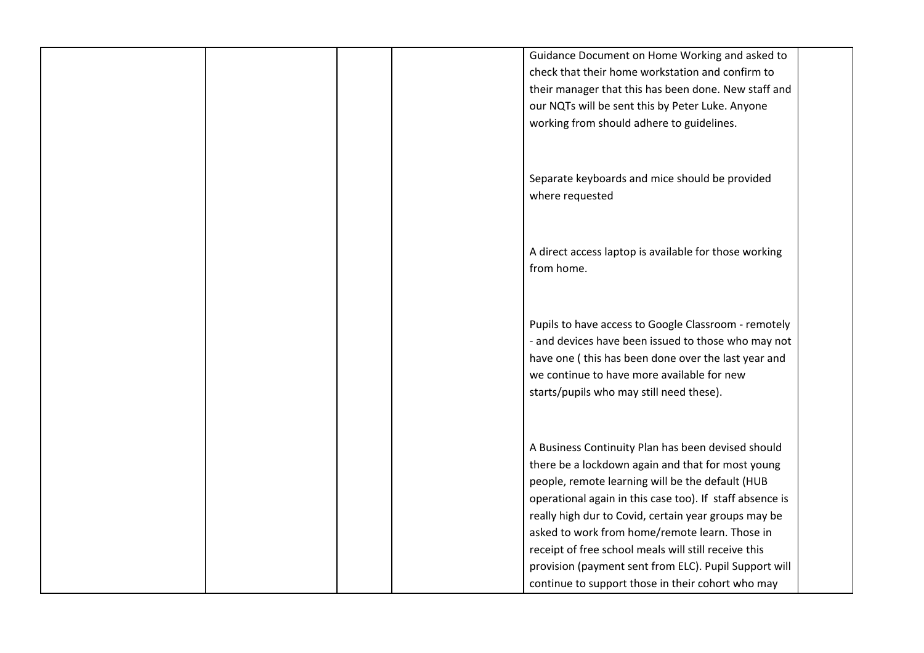| Guidance Document on Home Working and asked to           |
|----------------------------------------------------------|
| check that their home workstation and confirm to         |
| their manager that this has been done. New staff and     |
| our NQTs will be sent this by Peter Luke. Anyone         |
| working from should adhere to guidelines.                |
|                                                          |
|                                                          |
| Separate keyboards and mice should be provided           |
| where requested                                          |
|                                                          |
|                                                          |
|                                                          |
| A direct access laptop is available for those working    |
| from home.                                               |
|                                                          |
|                                                          |
| Pupils to have access to Google Classroom - remotely     |
| - and devices have been issued to those who may not      |
| have one (this has been done over the last year and      |
| we continue to have more available for new               |
| starts/pupils who may still need these).                 |
|                                                          |
|                                                          |
|                                                          |
| A Business Continuity Plan has been devised should       |
| there be a lockdown again and that for most young        |
| people, remote learning will be the default (HUB         |
| operational again in this case too). If staff absence is |
| really high dur to Covid, certain year groups may be     |
| asked to work from home/remote learn. Those in           |
| receipt of free school meals will still receive this     |
| provision (payment sent from ELC). Pupil Support will    |
| continue to support those in their cohort who may        |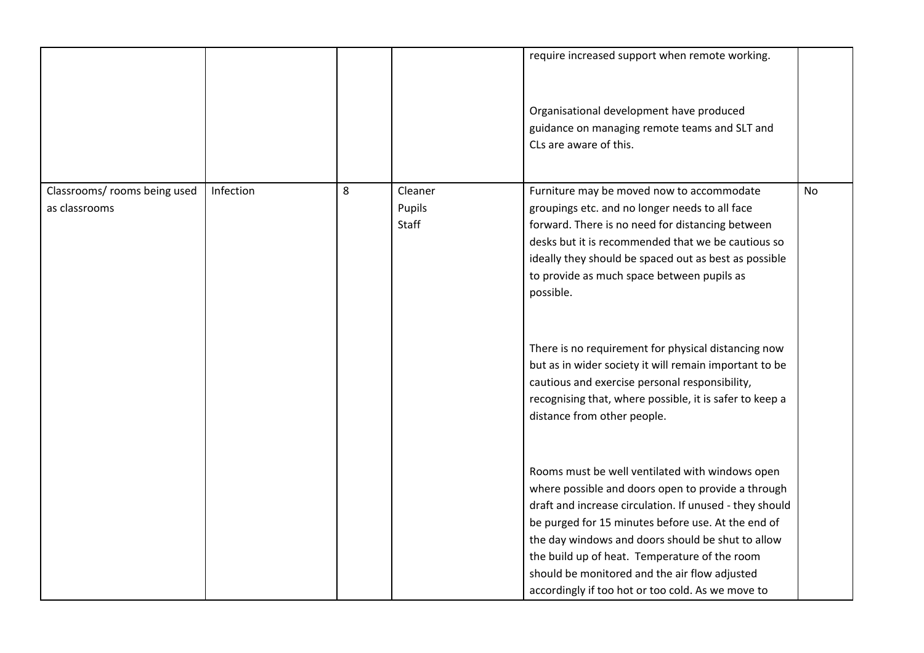|                                               |           |   |                            | require increased support when remote working.                                                                                                                                                                                                                                                                                                                                                                                     |           |
|-----------------------------------------------|-----------|---|----------------------------|------------------------------------------------------------------------------------------------------------------------------------------------------------------------------------------------------------------------------------------------------------------------------------------------------------------------------------------------------------------------------------------------------------------------------------|-----------|
|                                               |           |   |                            | Organisational development have produced<br>guidance on managing remote teams and SLT and<br>CLs are aware of this.                                                                                                                                                                                                                                                                                                                |           |
| Classrooms/ rooms being used<br>as classrooms | Infection | 8 | Cleaner<br>Pupils<br>Staff | Furniture may be moved now to accommodate<br>groupings etc. and no longer needs to all face<br>forward. There is no need for distancing between<br>desks but it is recommended that we be cautious so<br>ideally they should be spaced out as best as possible<br>to provide as much space between pupils as<br>possible.                                                                                                          | <b>No</b> |
|                                               |           |   |                            | There is no requirement for physical distancing now<br>but as in wider society it will remain important to be<br>cautious and exercise personal responsibility,<br>recognising that, where possible, it is safer to keep a<br>distance from other people.                                                                                                                                                                          |           |
|                                               |           |   |                            | Rooms must be well ventilated with windows open<br>where possible and doors open to provide a through<br>draft and increase circulation. If unused - they should<br>be purged for 15 minutes before use. At the end of<br>the day windows and doors should be shut to allow<br>the build up of heat. Temperature of the room<br>should be monitored and the air flow adjusted<br>accordingly if too hot or too cold. As we move to |           |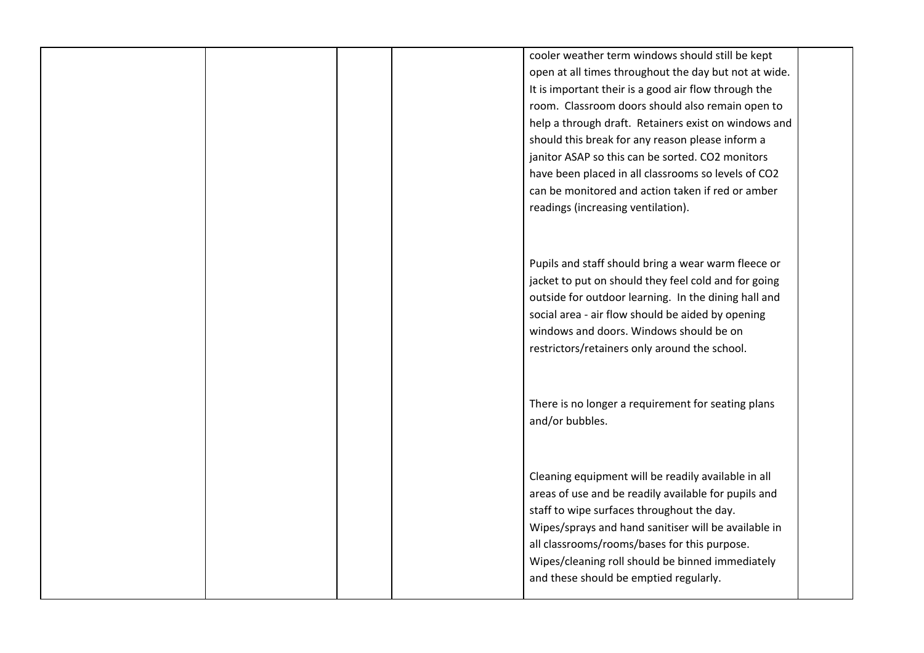|  | cooler weather term windows should still be kept      |
|--|-------------------------------------------------------|
|  | open at all times throughout the day but not at wide. |
|  | It is important their is a good air flow through the  |
|  | room. Classroom doors should also remain open to      |
|  | help a through draft. Retainers exist on windows and  |
|  | should this break for any reason please inform a      |
|  | janitor ASAP so this can be sorted. CO2 monitors      |
|  | have been placed in all classrooms so levels of CO2   |
|  | can be monitored and action taken if red or amber     |
|  | readings (increasing ventilation).                    |
|  |                                                       |
|  |                                                       |
|  |                                                       |
|  | Pupils and staff should bring a wear warm fleece or   |
|  | jacket to put on should they feel cold and for going  |
|  | outside for outdoor learning. In the dining hall and  |
|  | social area - air flow should be aided by opening     |
|  | windows and doors. Windows should be on               |
|  | restrictors/retainers only around the school.         |
|  |                                                       |
|  |                                                       |
|  | There is no longer a requirement for seating plans    |
|  | and/or bubbles.                                       |
|  |                                                       |
|  |                                                       |
|  |                                                       |
|  | Cleaning equipment will be readily available in all   |
|  | areas of use and be readily available for pupils and  |
|  | staff to wipe surfaces throughout the day.            |
|  | Wipes/sprays and hand sanitiser will be available in  |
|  | all classrooms/rooms/bases for this purpose.          |
|  | Wipes/cleaning roll should be binned immediately      |
|  | and these should be emptied regularly.                |
|  |                                                       |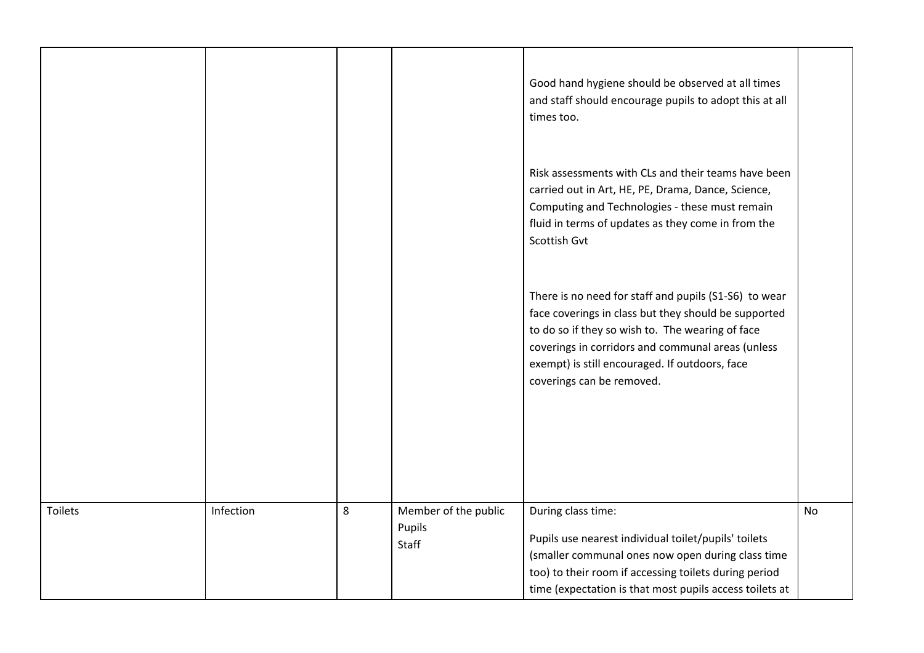|         |           |   |                                         | Good hand hygiene should be observed at all times<br>and staff should encourage pupils to adopt this at all<br>times too.                                                                                                                                                                             |           |
|---------|-----------|---|-----------------------------------------|-------------------------------------------------------------------------------------------------------------------------------------------------------------------------------------------------------------------------------------------------------------------------------------------------------|-----------|
|         |           |   |                                         | Risk assessments with CLs and their teams have been<br>carried out in Art, HE, PE, Drama, Dance, Science,<br>Computing and Technologies - these must remain<br>fluid in terms of updates as they come in from the<br>Scottish Gvt                                                                     |           |
|         |           |   |                                         | There is no need for staff and pupils (S1-S6) to wear<br>face coverings in class but they should be supported<br>to do so if they so wish to. The wearing of face<br>coverings in corridors and communal areas (unless<br>exempt) is still encouraged. If outdoors, face<br>coverings can be removed. |           |
| Toilets | Infection | 8 | Member of the public<br>Pupils<br>Staff | During class time:<br>Pupils use nearest individual toilet/pupils' toilets<br>(smaller communal ones now open during class time<br>too) to their room if accessing toilets during period<br>time (expectation is that most pupils access toilets at                                                   | <b>No</b> |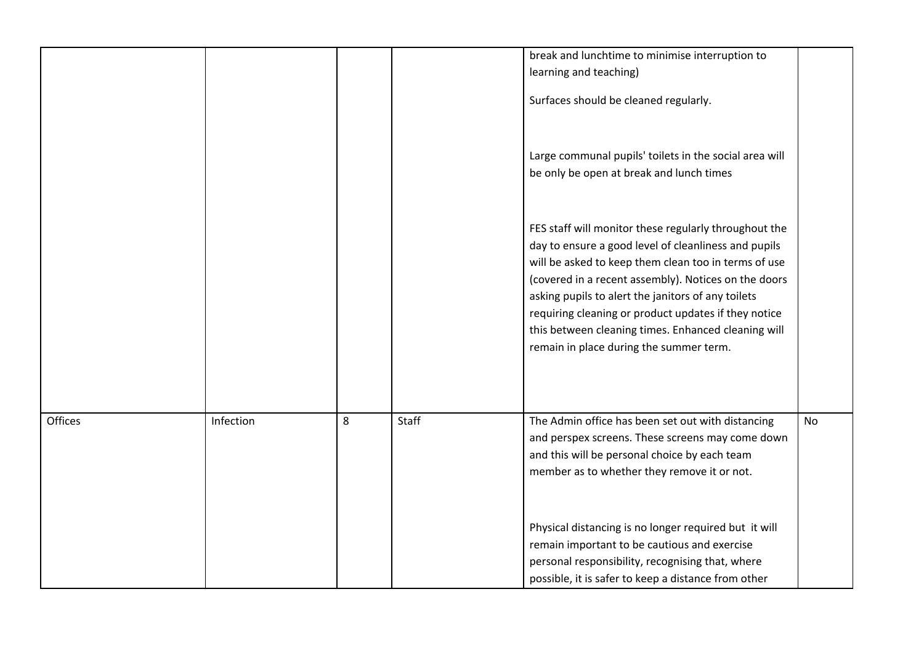|         |           |   |       | break and lunchtime to minimise interruption to<br>learning and teaching)<br>Surfaces should be cleaned regularly.                                                                                                                                                                                                                                                                                                                            |           |
|---------|-----------|---|-------|-----------------------------------------------------------------------------------------------------------------------------------------------------------------------------------------------------------------------------------------------------------------------------------------------------------------------------------------------------------------------------------------------------------------------------------------------|-----------|
|         |           |   |       | Large communal pupils' toilets in the social area will<br>be only be open at break and lunch times                                                                                                                                                                                                                                                                                                                                            |           |
|         |           |   |       | FES staff will monitor these regularly throughout the<br>day to ensure a good level of cleanliness and pupils<br>will be asked to keep them clean too in terms of use<br>(covered in a recent assembly). Notices on the doors<br>asking pupils to alert the janitors of any toilets<br>requiring cleaning or product updates if they notice<br>this between cleaning times. Enhanced cleaning will<br>remain in place during the summer term. |           |
| Offices | Infection | 8 | Staff | The Admin office has been set out with distancing<br>and perspex screens. These screens may come down<br>and this will be personal choice by each team<br>member as to whether they remove it or not.                                                                                                                                                                                                                                         | <b>No</b> |
|         |           |   |       | Physical distancing is no longer required but it will<br>remain important to be cautious and exercise<br>personal responsibility, recognising that, where<br>possible, it is safer to keep a distance from other                                                                                                                                                                                                                              |           |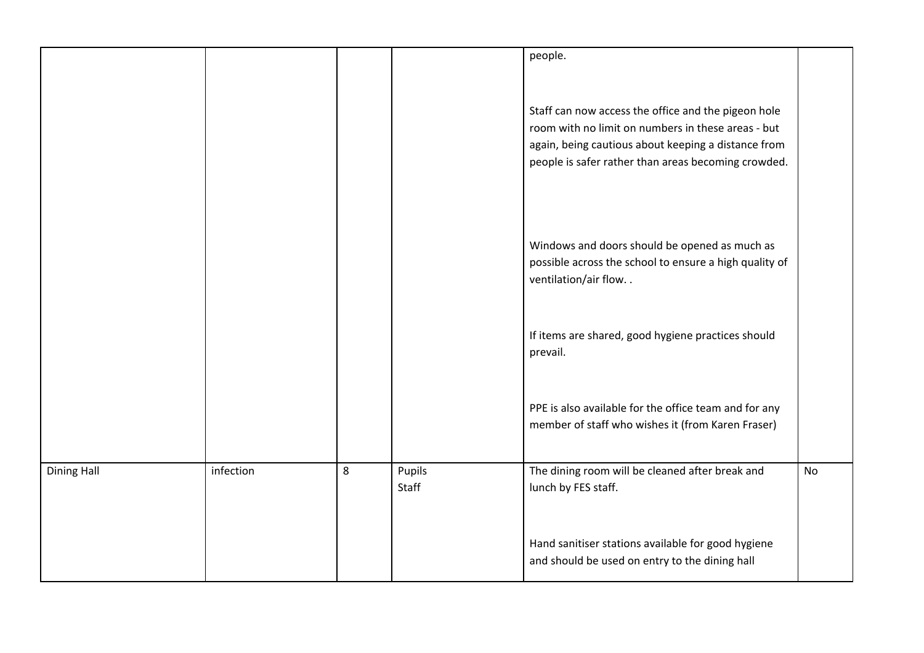|                    |           |   |                 | people.                                                                                                                                                                                                                 |           |
|--------------------|-----------|---|-----------------|-------------------------------------------------------------------------------------------------------------------------------------------------------------------------------------------------------------------------|-----------|
|                    |           |   |                 | Staff can now access the office and the pigeon hole<br>room with no limit on numbers in these areas - but<br>again, being cautious about keeping a distance from<br>people is safer rather than areas becoming crowded. |           |
|                    |           |   |                 | Windows and doors should be opened as much as<br>possible across the school to ensure a high quality of<br>ventilation/air flow                                                                                         |           |
|                    |           |   |                 | If items are shared, good hygiene practices should<br>prevail.                                                                                                                                                          |           |
|                    |           |   |                 | PPE is also available for the office team and for any<br>member of staff who wishes it (from Karen Fraser)                                                                                                              |           |
| <b>Dining Hall</b> | infection | 8 | Pupils<br>Staff | The dining room will be cleaned after break and<br>lunch by FES staff.                                                                                                                                                  | <b>No</b> |
|                    |           |   |                 | Hand sanitiser stations available for good hygiene<br>and should be used on entry to the dining hall                                                                                                                    |           |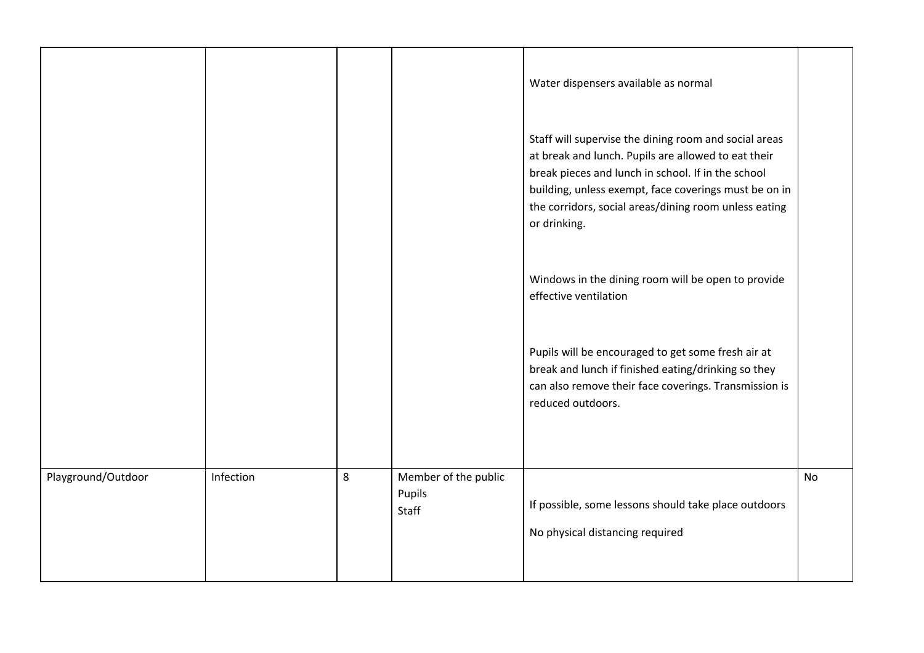|                    |           |   |                                         | Water dispensers available as normal                                                                                                                                                                                                                                                                 |    |
|--------------------|-----------|---|-----------------------------------------|------------------------------------------------------------------------------------------------------------------------------------------------------------------------------------------------------------------------------------------------------------------------------------------------------|----|
|                    |           |   |                                         | Staff will supervise the dining room and social areas<br>at break and lunch. Pupils are allowed to eat their<br>break pieces and lunch in school. If in the school<br>building, unless exempt, face coverings must be on in<br>the corridors, social areas/dining room unless eating<br>or drinking. |    |
|                    |           |   |                                         | Windows in the dining room will be open to provide<br>effective ventilation                                                                                                                                                                                                                          |    |
|                    |           |   |                                         | Pupils will be encouraged to get some fresh air at<br>break and lunch if finished eating/drinking so they<br>can also remove their face coverings. Transmission is<br>reduced outdoors.                                                                                                              |    |
| Playground/Outdoor | Infection | 8 | Member of the public<br>Pupils<br>Staff | If possible, some lessons should take place outdoors<br>No physical distancing required                                                                                                                                                                                                              | No |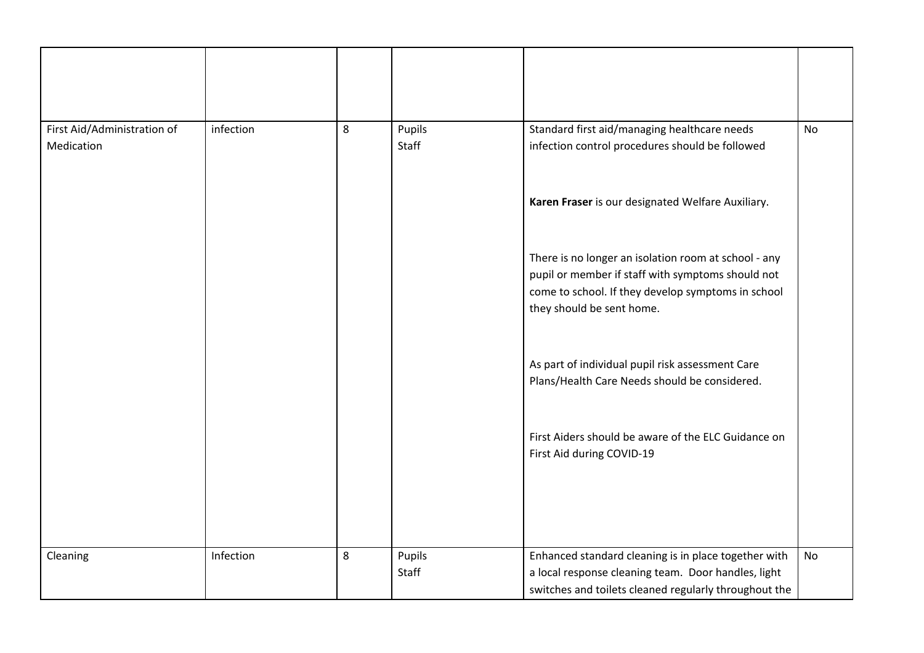| First Aid/Administration of<br>Medication | infection | 8 | Pupils<br>Staff | Standard first aid/managing healthcare needs<br>infection control procedures should be followed                                                                                              | <b>No</b> |
|-------------------------------------------|-----------|---|-----------------|----------------------------------------------------------------------------------------------------------------------------------------------------------------------------------------------|-----------|
|                                           |           |   |                 | Karen Fraser is our designated Welfare Auxiliary.                                                                                                                                            |           |
|                                           |           |   |                 | There is no longer an isolation room at school - any<br>pupil or member if staff with symptoms should not<br>come to school. If they develop symptoms in school<br>they should be sent home. |           |
|                                           |           |   |                 | As part of individual pupil risk assessment Care<br>Plans/Health Care Needs should be considered.                                                                                            |           |
|                                           |           |   |                 | First Aiders should be aware of the ELC Guidance on<br>First Aid during COVID-19                                                                                                             |           |
|                                           |           |   |                 |                                                                                                                                                                                              |           |
| Cleaning                                  | Infection | 8 | Pupils<br>Staff | Enhanced standard cleaning is in place together with<br>a local response cleaning team. Door handles, light<br>switches and toilets cleaned regularly throughout the                         | No        |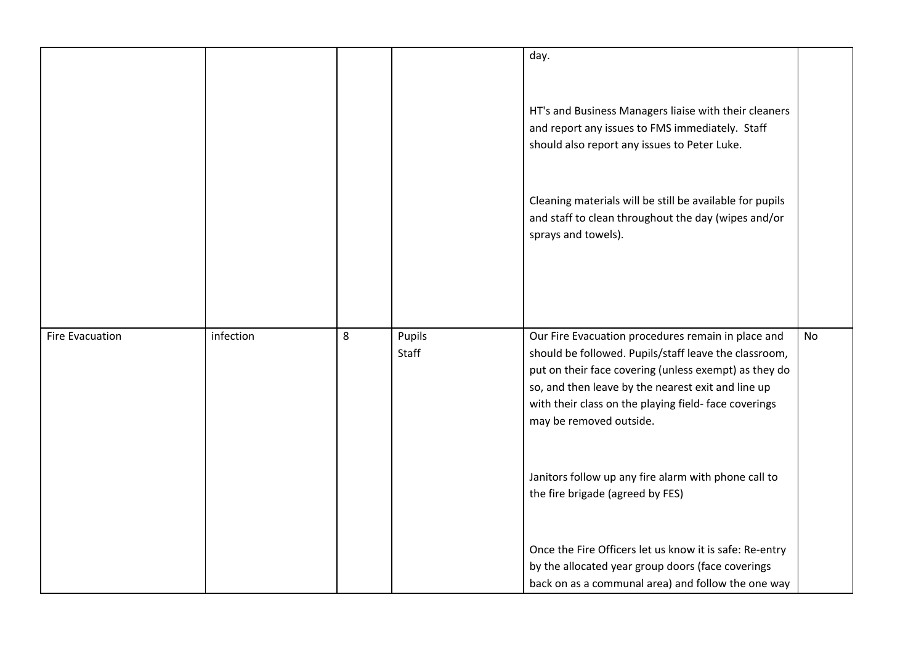|                        |           |   |        | day.                                                     |    |
|------------------------|-----------|---|--------|----------------------------------------------------------|----|
|                        |           |   |        |                                                          |    |
|                        |           |   |        |                                                          |    |
|                        |           |   |        | HT's and Business Managers liaise with their cleaners    |    |
|                        |           |   |        | and report any issues to FMS immediately. Staff          |    |
|                        |           |   |        | should also report any issues to Peter Luke.             |    |
|                        |           |   |        |                                                          |    |
|                        |           |   |        |                                                          |    |
|                        |           |   |        | Cleaning materials will be still be available for pupils |    |
|                        |           |   |        | and staff to clean throughout the day (wipes and/or      |    |
|                        |           |   |        | sprays and towels).                                      |    |
|                        |           |   |        |                                                          |    |
|                        |           |   |        |                                                          |    |
|                        |           |   |        |                                                          |    |
|                        |           |   |        |                                                          |    |
|                        |           |   |        |                                                          |    |
| <b>Fire Evacuation</b> | infection | 8 | Pupils | Our Fire Evacuation procedures remain in place and       | No |
|                        |           |   | Staff  | should be followed. Pupils/staff leave the classroom,    |    |
|                        |           |   |        | put on their face covering (unless exempt) as they do    |    |
|                        |           |   |        | so, and then leave by the nearest exit and line up       |    |
|                        |           |   |        | with their class on the playing field-face coverings     |    |
|                        |           |   |        | may be removed outside.                                  |    |
|                        |           |   |        |                                                          |    |
|                        |           |   |        |                                                          |    |
|                        |           |   |        | Janitors follow up any fire alarm with phone call to     |    |
|                        |           |   |        | the fire brigade (agreed by FES)                         |    |
|                        |           |   |        |                                                          |    |
|                        |           |   |        |                                                          |    |
|                        |           |   |        | Once the Fire Officers let us know it is safe: Re-entry  |    |
|                        |           |   |        | by the allocated year group doors (face coverings        |    |
|                        |           |   |        | back on as a communal area) and follow the one way       |    |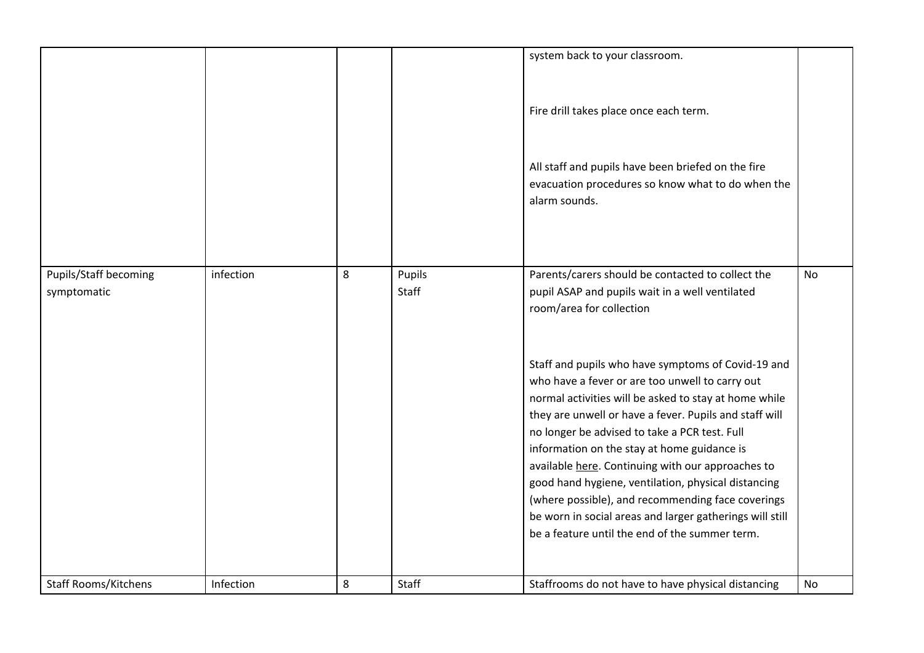|                                             |           |   |                 | system back to your classroom.<br>Fire drill takes place once each term.<br>All staff and pupils have been briefed on the fire<br>evacuation procedures so know what to do when the<br>alarm sounds.                                                                                                                                                                                                                                                                                                                                                                                                                                                                                                                                        |           |
|---------------------------------------------|-----------|---|-----------------|---------------------------------------------------------------------------------------------------------------------------------------------------------------------------------------------------------------------------------------------------------------------------------------------------------------------------------------------------------------------------------------------------------------------------------------------------------------------------------------------------------------------------------------------------------------------------------------------------------------------------------------------------------------------------------------------------------------------------------------------|-----------|
| <b>Pupils/Staff becoming</b><br>symptomatic | infection | 8 | Pupils<br>Staff | Parents/carers should be contacted to collect the<br>pupil ASAP and pupils wait in a well ventilated<br>room/area for collection<br>Staff and pupils who have symptoms of Covid-19 and<br>who have a fever or are too unwell to carry out<br>normal activities will be asked to stay at home while<br>they are unwell or have a fever. Pupils and staff will<br>no longer be advised to take a PCR test. Full<br>information on the stay at home guidance is<br>available here. Continuing with our approaches to<br>good hand hygiene, ventilation, physical distancing<br>(where possible), and recommending face coverings<br>be worn in social areas and larger gatherings will still<br>be a feature until the end of the summer term. | <b>No</b> |
| <b>Staff Rooms/Kitchens</b>                 | Infection | 8 | Staff           | Staffrooms do not have to have physical distancing                                                                                                                                                                                                                                                                                                                                                                                                                                                                                                                                                                                                                                                                                          | No        |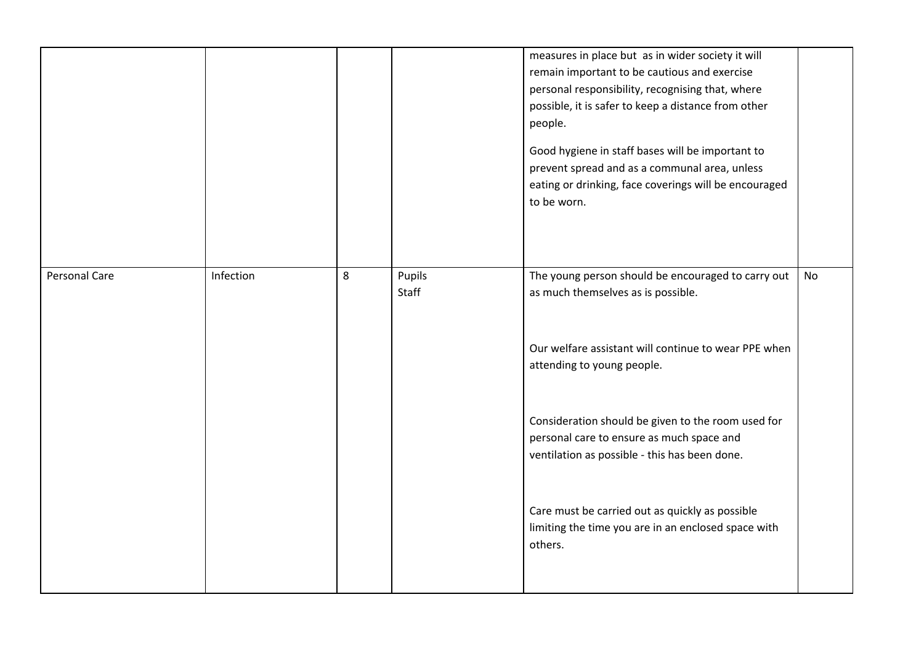|               |           |   |                 | measures in place but as in wider society it will<br>remain important to be cautious and exercise<br>personal responsibility, recognising that, where<br>possible, it is safer to keep a distance from other<br>people.<br>Good hygiene in staff bases will be important to<br>prevent spread and as a communal area, unless<br>eating or drinking, face coverings will be encouraged<br>to be worn. |    |
|---------------|-----------|---|-----------------|------------------------------------------------------------------------------------------------------------------------------------------------------------------------------------------------------------------------------------------------------------------------------------------------------------------------------------------------------------------------------------------------------|----|
| Personal Care | Infection | 8 | Pupils<br>Staff | The young person should be encouraged to carry out<br>as much themselves as is possible.                                                                                                                                                                                                                                                                                                             | No |
|               |           |   |                 | Our welfare assistant will continue to wear PPE when<br>attending to young people.                                                                                                                                                                                                                                                                                                                   |    |
|               |           |   |                 | Consideration should be given to the room used for<br>personal care to ensure as much space and<br>ventilation as possible - this has been done.                                                                                                                                                                                                                                                     |    |
|               |           |   |                 | Care must be carried out as quickly as possible<br>limiting the time you are in an enclosed space with<br>others.                                                                                                                                                                                                                                                                                    |    |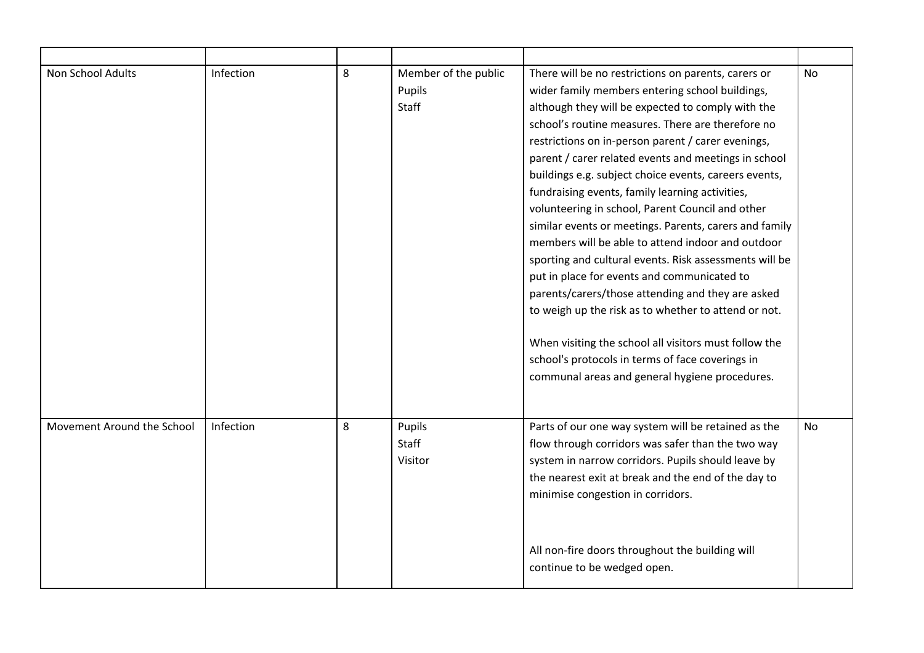| Non School Adults          | Infection | 8 | Member of the public | There will be no restrictions on parents, carers or    | No        |
|----------------------------|-----------|---|----------------------|--------------------------------------------------------|-----------|
|                            |           |   | Pupils               | wider family members entering school buildings,        |           |
|                            |           |   | Staff                | although they will be expected to comply with the      |           |
|                            |           |   |                      | school's routine measures. There are therefore no      |           |
|                            |           |   |                      | restrictions on in-person parent / carer evenings,     |           |
|                            |           |   |                      | parent / carer related events and meetings in school   |           |
|                            |           |   |                      | buildings e.g. subject choice events, careers events,  |           |
|                            |           |   |                      | fundraising events, family learning activities,        |           |
|                            |           |   |                      | volunteering in school, Parent Council and other       |           |
|                            |           |   |                      | similar events or meetings. Parents, carers and family |           |
|                            |           |   |                      | members will be able to attend indoor and outdoor      |           |
|                            |           |   |                      | sporting and cultural events. Risk assessments will be |           |
|                            |           |   |                      | put in place for events and communicated to            |           |
|                            |           |   |                      | parents/carers/those attending and they are asked      |           |
|                            |           |   |                      | to weigh up the risk as to whether to attend or not.   |           |
|                            |           |   |                      |                                                        |           |
|                            |           |   |                      | When visiting the school all visitors must follow the  |           |
|                            |           |   |                      | school's protocols in terms of face coverings in       |           |
|                            |           |   |                      | communal areas and general hygiene procedures.         |           |
|                            |           |   |                      |                                                        |           |
|                            |           |   |                      |                                                        |           |
| Movement Around the School | Infection | 8 | Pupils               | Parts of our one way system will be retained as the    | <b>No</b> |
|                            |           |   | Staff                | flow through corridors was safer than the two way      |           |
|                            |           |   | Visitor              | system in narrow corridors. Pupils should leave by     |           |
|                            |           |   |                      | the nearest exit at break and the end of the day to    |           |
|                            |           |   |                      | minimise congestion in corridors.                      |           |
|                            |           |   |                      |                                                        |           |
|                            |           |   |                      |                                                        |           |
|                            |           |   |                      |                                                        |           |
|                            |           |   |                      | All non-fire doors throughout the building will        |           |
|                            |           |   |                      | continue to be wedged open.                            |           |
|                            |           |   |                      |                                                        |           |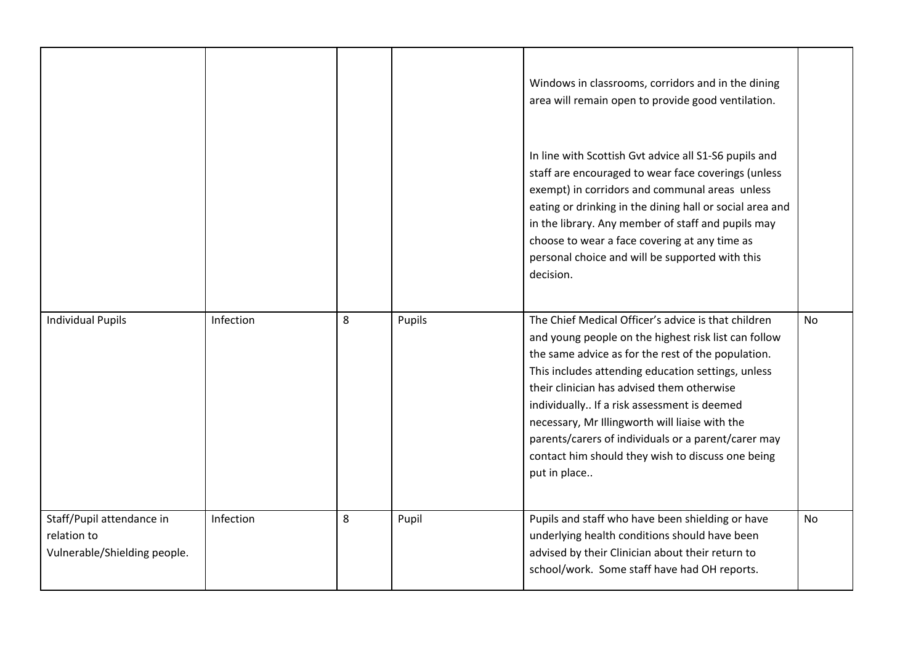|                                                                          |           |   |        | Windows in classrooms, corridors and in the dining<br>area will remain open to provide good ventilation.                                                                                                                                                                                                                                                                                                                                                                                           |           |
|--------------------------------------------------------------------------|-----------|---|--------|----------------------------------------------------------------------------------------------------------------------------------------------------------------------------------------------------------------------------------------------------------------------------------------------------------------------------------------------------------------------------------------------------------------------------------------------------------------------------------------------------|-----------|
|                                                                          |           |   |        | In line with Scottish Gvt advice all S1-S6 pupils and<br>staff are encouraged to wear face coverings (unless<br>exempt) in corridors and communal areas unless<br>eating or drinking in the dining hall or social area and<br>in the library. Any member of staff and pupils may<br>choose to wear a face covering at any time as<br>personal choice and will be supported with this<br>decision.                                                                                                  |           |
| <b>Individual Pupils</b>                                                 | Infection | 8 | Pupils | The Chief Medical Officer's advice is that children<br>and young people on the highest risk list can follow<br>the same advice as for the rest of the population.<br>This includes attending education settings, unless<br>their clinician has advised them otherwise<br>individually If a risk assessment is deemed<br>necessary, Mr Illingworth will liaise with the<br>parents/carers of individuals or a parent/carer may<br>contact him should they wish to discuss one being<br>put in place | <b>No</b> |
| Staff/Pupil attendance in<br>relation to<br>Vulnerable/Shielding people. | Infection | 8 | Pupil  | Pupils and staff who have been shielding or have<br>underlying health conditions should have been<br>advised by their Clinician about their return to<br>school/work. Some staff have had OH reports.                                                                                                                                                                                                                                                                                              | <b>No</b> |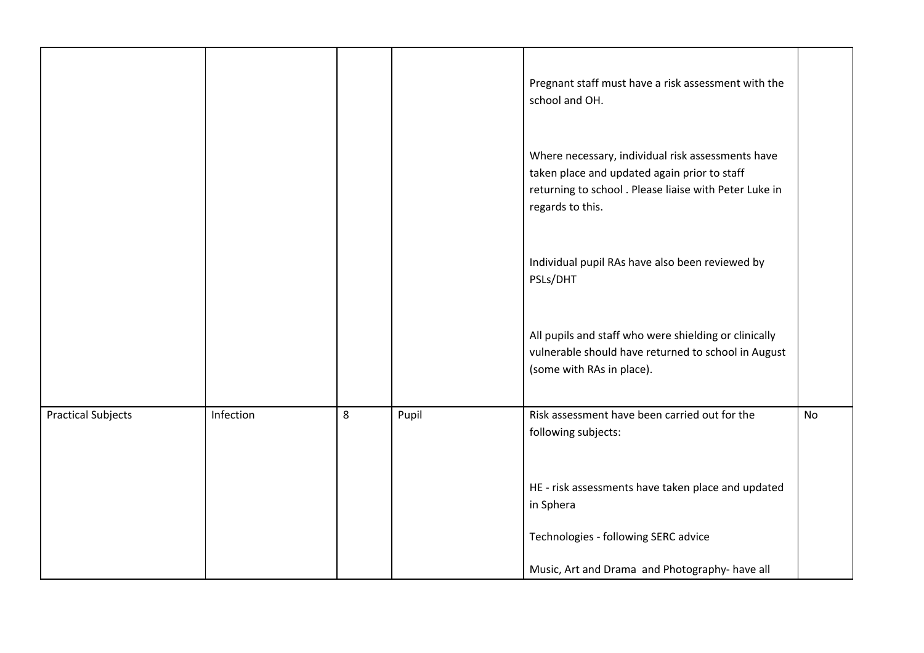|                           |           |   |       | Pregnant staff must have a risk assessment with the<br>school and OH.                                                                                                          |           |
|---------------------------|-----------|---|-------|--------------------------------------------------------------------------------------------------------------------------------------------------------------------------------|-----------|
|                           |           |   |       | Where necessary, individual risk assessments have<br>taken place and updated again prior to staff<br>returning to school. Please liaise with Peter Luke in<br>regards to this. |           |
|                           |           |   |       | Individual pupil RAs have also been reviewed by<br>PSLs/DHT                                                                                                                    |           |
|                           |           |   |       | All pupils and staff who were shielding or clinically<br>vulnerable should have returned to school in August<br>(some with RAs in place).                                      |           |
| <b>Practical Subjects</b> | Infection | 8 | Pupil | Risk assessment have been carried out for the<br>following subjects:                                                                                                           | <b>No</b> |
|                           |           |   |       | HE - risk assessments have taken place and updated<br>in Sphera                                                                                                                |           |
|                           |           |   |       | Technologies - following SERC advice                                                                                                                                           |           |
|                           |           |   |       | Music, Art and Drama and Photography- have all                                                                                                                                 |           |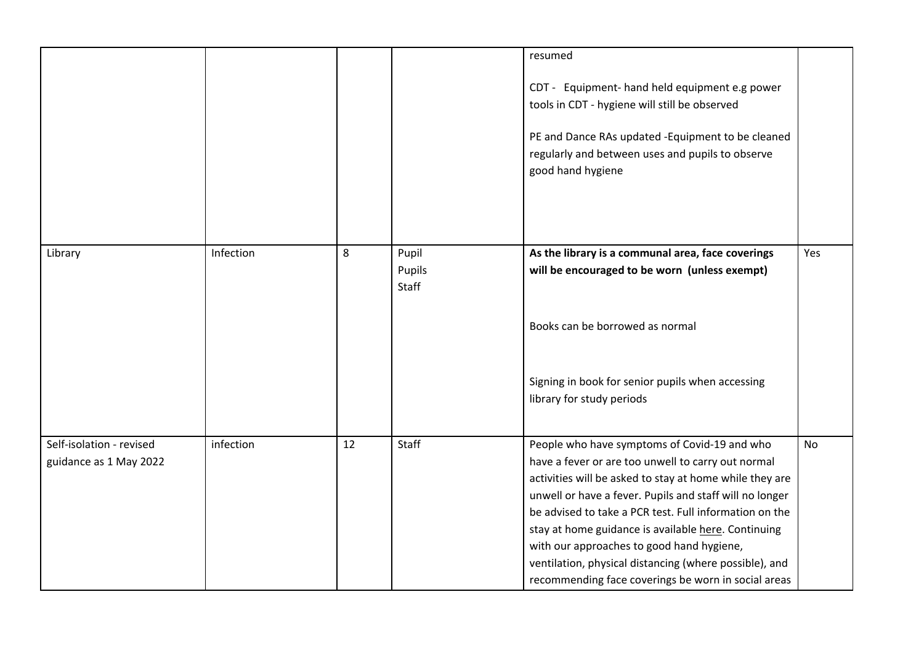|                                                    |           |    |                          | resumed                                                                                                                                                                                                                                                                                                                                                                                                                                                                                                 |           |
|----------------------------------------------------|-----------|----|--------------------------|---------------------------------------------------------------------------------------------------------------------------------------------------------------------------------------------------------------------------------------------------------------------------------------------------------------------------------------------------------------------------------------------------------------------------------------------------------------------------------------------------------|-----------|
|                                                    |           |    |                          | CDT - Equipment- hand held equipment e.g power<br>tools in CDT - hygiene will still be observed                                                                                                                                                                                                                                                                                                                                                                                                         |           |
|                                                    |           |    |                          | PE and Dance RAs updated -Equipment to be cleaned<br>regularly and between uses and pupils to observe<br>good hand hygiene                                                                                                                                                                                                                                                                                                                                                                              |           |
|                                                    |           |    |                          |                                                                                                                                                                                                                                                                                                                                                                                                                                                                                                         |           |
| Library                                            | Infection | 8  | Pupil<br>Pupils<br>Staff | As the library is a communal area, face coverings<br>will be encouraged to be worn (unless exempt)                                                                                                                                                                                                                                                                                                                                                                                                      | Yes       |
|                                                    |           |    |                          | Books can be borrowed as normal                                                                                                                                                                                                                                                                                                                                                                                                                                                                         |           |
|                                                    |           |    |                          | Signing in book for senior pupils when accessing<br>library for study periods                                                                                                                                                                                                                                                                                                                                                                                                                           |           |
| Self-isolation - revised<br>guidance as 1 May 2022 | infection | 12 | Staff                    | People who have symptoms of Covid-19 and who<br>have a fever or are too unwell to carry out normal<br>activities will be asked to stay at home while they are<br>unwell or have a fever. Pupils and staff will no longer<br>be advised to take a PCR test. Full information on the<br>stay at home guidance is available here. Continuing<br>with our approaches to good hand hygiene,<br>ventilation, physical distancing (where possible), and<br>recommending face coverings be worn in social areas | <b>No</b> |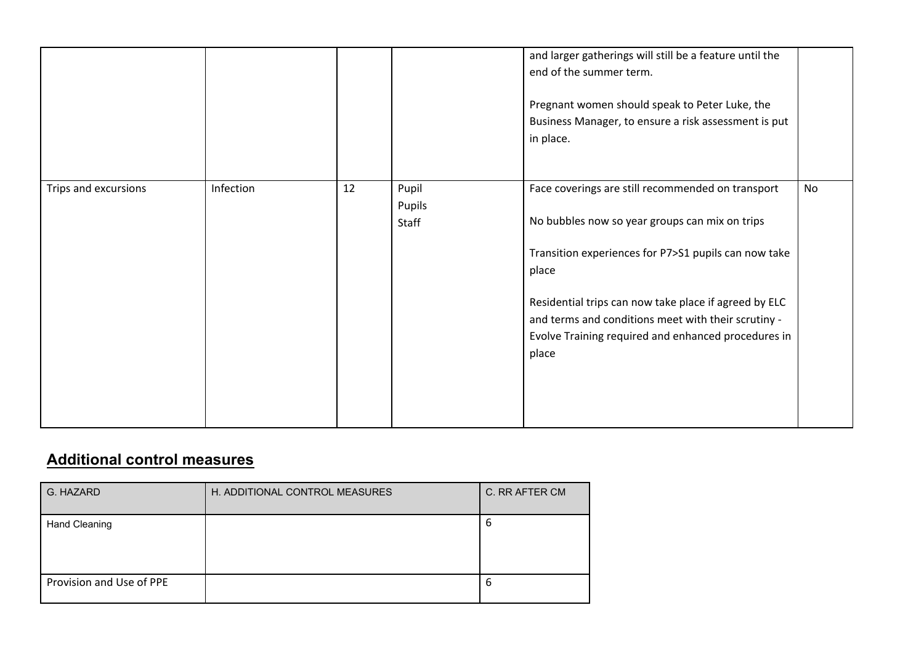|                      |           |    |                          | and larger gatherings will still be a feature until the<br>end of the summer term.<br>Pregnant women should speak to Peter Luke, the<br>Business Manager, to ensure a risk assessment is put<br>in place.                                                                                                                                            |    |
|----------------------|-----------|----|--------------------------|------------------------------------------------------------------------------------------------------------------------------------------------------------------------------------------------------------------------------------------------------------------------------------------------------------------------------------------------------|----|
| Trips and excursions | Infection | 12 | Pupil<br>Pupils<br>Staff | Face coverings are still recommended on transport<br>No bubbles now so year groups can mix on trips<br>Transition experiences for P7>S1 pupils can now take<br>place<br>Residential trips can now take place if agreed by ELC<br>and terms and conditions meet with their scrutiny -<br>Evolve Training required and enhanced procedures in<br>place | No |

## **Additional control measures**

| G. HAZARD                | H. ADDITIONAL CONTROL MEASURES | C. RR AFTER CM |
|--------------------------|--------------------------------|----------------|
| Hand Cleaning            |                                | O              |
| Provision and Use of PPE |                                | b              |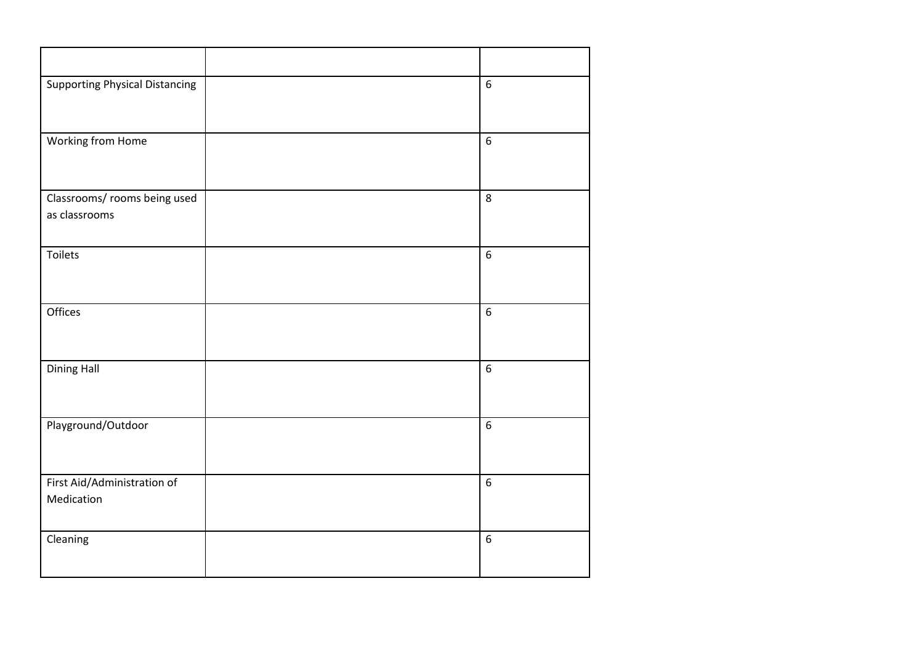| <b>Supporting Physical Distancing</b>         | 6                |
|-----------------------------------------------|------------------|
| Working from Home                             | $6\overline{6}$  |
| Classrooms/ rooms being used<br>as classrooms | 8                |
| Toilets                                       | $\overline{6}$   |
| Offices                                       | $\overline{6}$   |
| <b>Dining Hall</b>                            | 6                |
| Playground/Outdoor                            | $\boldsymbol{6}$ |
| First Aid/Administration of<br>Medication     | 6                |
| Cleaning                                      | 6                |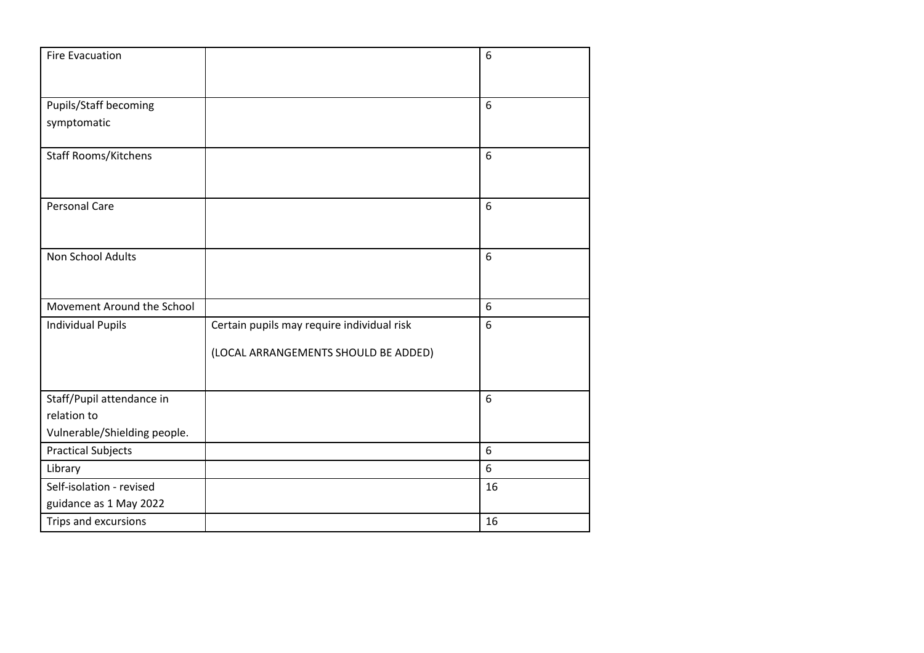| <b>Fire Evacuation</b>       |                                            | 6  |
|------------------------------|--------------------------------------------|----|
|                              |                                            |    |
|                              |                                            |    |
| Pupils/Staff becoming        |                                            | 6  |
| symptomatic                  |                                            |    |
|                              |                                            |    |
| <b>Staff Rooms/Kitchens</b>  |                                            | 6  |
|                              |                                            |    |
|                              |                                            |    |
| <b>Personal Care</b>         |                                            | 6  |
|                              |                                            |    |
| Non School Adults            |                                            | 6  |
|                              |                                            |    |
|                              |                                            |    |
| Movement Around the School   |                                            | 6  |
| <b>Individual Pupils</b>     | Certain pupils may require individual risk | 6  |
|                              |                                            |    |
|                              | (LOCAL ARRANGEMENTS SHOULD BE ADDED)       |    |
|                              |                                            |    |
| Staff/Pupil attendance in    |                                            | 6  |
| relation to                  |                                            |    |
| Vulnerable/Shielding people. |                                            |    |
| <b>Practical Subjects</b>    |                                            | 6  |
| Library                      |                                            | 6  |
| Self-isolation - revised     |                                            | 16 |
| guidance as 1 May 2022       |                                            |    |
| Trips and excursions         |                                            | 16 |